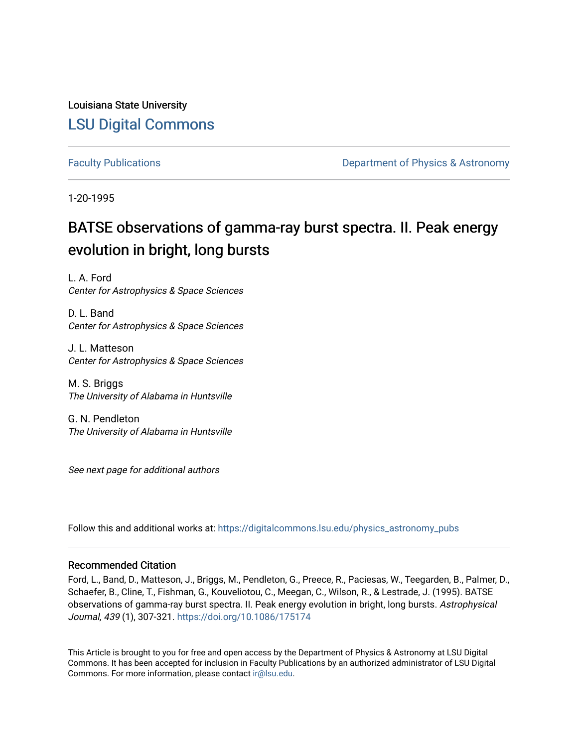Louisiana State University [LSU Digital Commons](https://digitalcommons.lsu.edu/)

[Faculty Publications](https://digitalcommons.lsu.edu/physics_astronomy_pubs) **Exercise 2 and Table 2 and Table 2 and Table 2 and Table 2 and Table 2 and Table 2 and Table 2 and Table 2 and Table 2 and Table 2 and Table 2 and Table 2 and Table 2 and Table 2 and Table 2 and Table** 

1-20-1995

# BATSE observations of gamma-ray burst spectra. II. Peak energy evolution in bright, long bursts

L. A. Ford Center for Astrophysics & Space Sciences

D. L. Band Center for Astrophysics & Space Sciences

J. L. Matteson Center for Astrophysics & Space Sciences

M. S. Briggs The University of Alabama in Huntsville

G. N. Pendleton The University of Alabama in Huntsville

See next page for additional authors

Follow this and additional works at: [https://digitalcommons.lsu.edu/physics\\_astronomy\\_pubs](https://digitalcommons.lsu.edu/physics_astronomy_pubs?utm_source=digitalcommons.lsu.edu%2Fphysics_astronomy_pubs%2F4811&utm_medium=PDF&utm_campaign=PDFCoverPages) 

## Recommended Citation

Ford, L., Band, D., Matteson, J., Briggs, M., Pendleton, G., Preece, R., Paciesas, W., Teegarden, B., Palmer, D., Schaefer, B., Cline, T., Fishman, G., Kouveliotou, C., Meegan, C., Wilson, R., & Lestrade, J. (1995). BATSE observations of gamma-ray burst spectra. II. Peak energy evolution in bright, long bursts. Astrophysical Journal, 439 (1), 307-321. <https://doi.org/10.1086/175174>

This Article is brought to you for free and open access by the Department of Physics & Astronomy at LSU Digital Commons. It has been accepted for inclusion in Faculty Publications by an authorized administrator of LSU Digital Commons. For more information, please contact [ir@lsu.edu](mailto:ir@lsu.edu).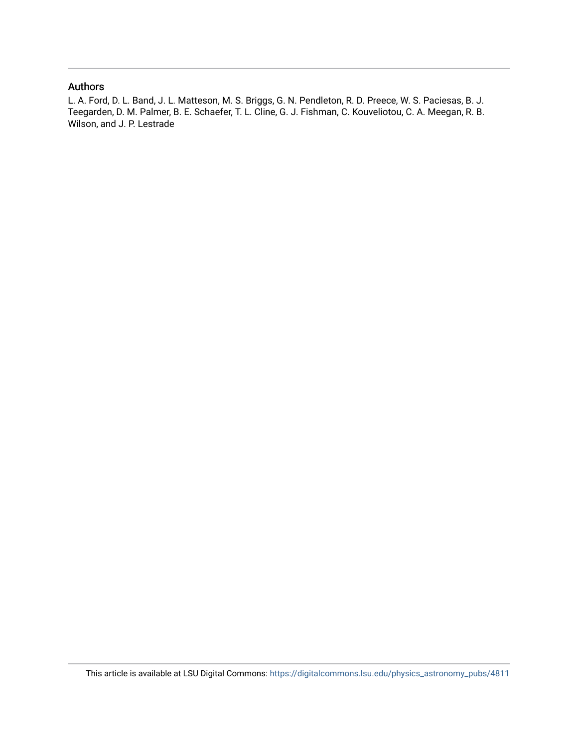# Authors

L. A. Ford, D. L. Band, J. L. Matteson, M. S. Briggs, G. N. Pendleton, R. D. Preece, W. S. Paciesas, B. J. Teegarden, D. M. Palmer, B. E. Schaefer, T. L. Cline, G. J. Fishman, C. Kouveliotou, C. A. Meegan, R. B. Wilson, and J. P. Lestrade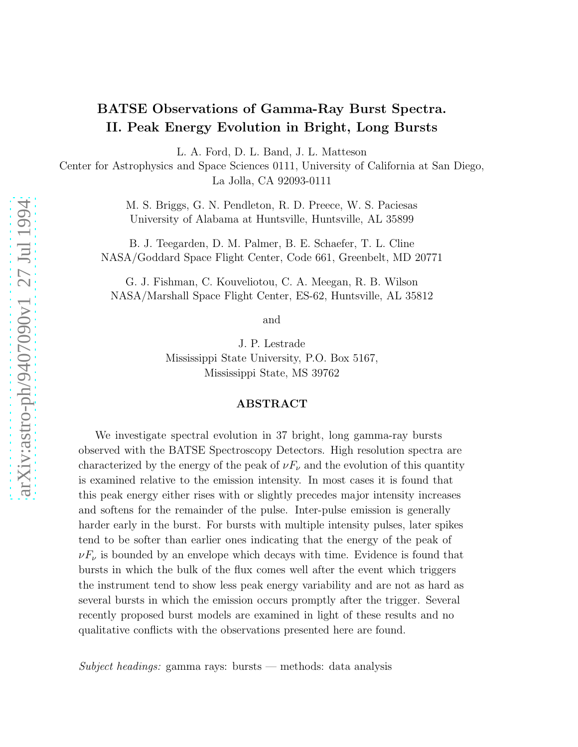# BATSE Observations of Gamma-Ray Burst Spectra. II. Peak Energy Evolution in Bright, Long Bursts

L. A. Ford, D. L. Band, J. L. Matteson

Center for Astrophysics and Space Sciences 0111, University of California at San Diego, La Jolla, CA 92093-0111

> M. S. Briggs, G. N. Pendleton, R. D. Preece, W. S. Paciesas University of Alabama at Huntsville, Huntsville, AL 35899

B. J. Teegarden, D. M. Palmer, B. E. Schaefer, T. L. Cline NASA/Goddard Space Flight Center, Code 661, Greenbelt, MD 20771

G. J. Fishman, C. Kouveliotou, C. A. Meegan, R. B. Wilson NASA/Marshall Space Flight Center, ES-62, Huntsville, AL 35812

and

J. P. Lestrade Mississippi State University, P.O. Box 5167, Mississippi State, MS 39762

## ABSTRACT

We investigate spectral evolution in 37 bright, long gamma-ray bursts observed with the BATSE Spectroscopy Detectors. High resolution spectra are characterized by the energy of the peak of  $\nu F_{\nu}$  and the evolution of this quantity is examined relative to the emission intensity. In most cases it is found that this peak energy either rises with or slightly precedes major intensity increases and softens for the remainder of the pulse. Inter-pulse emission is generally harder early in the burst. For bursts with multiple intensity pulses, later spikes tend to be softer than earlier ones indicating that the energy of the peak of  $\nu F_{\nu}$  is bounded by an envelope which decays with time. Evidence is found that bursts in which the bulk of the flux comes well after the event which triggers the instrument tend to show less peak energy variability and are not as hard as several bursts in which the emission occurs promptly after the trigger. Several recently proposed burst models are examined in light of these results and no qualitative conflicts with the observations presented here are found.

*Subject headings:* gamma rays: bursts — methods: data analysis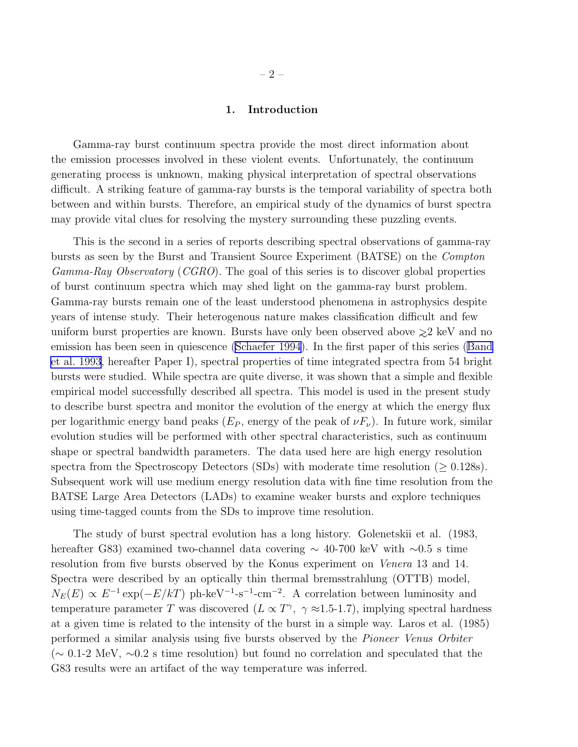#### 1. Introduction

Gamma-ray burst continuum spectra provide the most direct information about the emission processes involved in these violent events. Unfortunately, the continuum generating process is unknown, making physical interpretation of spectral observations difficult. A striking feature of gamma-ray bursts is the temporal variability of spectra both between and within bursts. Therefore, an empirical study of the dynamics of burst spectra may provide vital clues for resolving the mystery surrounding these puzzling events.

This is the second in a series of reports describing spectral observations of gamma-ray bursts as seen by the Burst and Transient Source Experiment (BATSE) on the *Compton Gamma-Ray Observatory* (*CGRO*). The goal of this series is to discover global properties of burst continuum spectra which may shed light on the gamma-ray burst problem. Gamma-ray bursts remain one of the least understood phenomena in astrophysics despite years of intense study. Their heterogenous nature makes classification difficult and few uniform burst properties are known. Bursts have only been observed above ∼>2 keV and no emission has been seen in quiescence [\(Schaefer 1994\)](#page-28-0). In the first paper of this series([Band](#page-26-0) [et al. 1993](#page-26-0), hereafter Paper I), spectral properties of time integrated spectra from 54 bright bursts were studied. While spectra are quite diverse, it was shown that a simple and flexible empirical model successfully described all spectra. This model is used in the present study to describe burst spectra and monitor the evolution of the energy at which the energy flux per logarithmic energy band peaks  $(E_P,$  energy of the peak of  $\nu F_\nu$ ). In future work, similar evolution studies will be performed with other spectral characteristics, such as continuum shape or spectral bandwidth parameters. The data used here are high energy resolution spectra from the Spectroscopy Detectors (SDs) with moderate time resolution ( $\geq 0.128$ s). Subsequent work will use medium energy resolution data with fine time resolution from the BATSE Large Area Detectors (LADs) to examine weaker bursts and explore techniques using time-tagged counts from the SDs to improve time resolution.

The study of burst spectral evolution has a long history. Golenetskii et al. (1983, hereafter G83) examined two-channel data covering ∼ 40-700 keV with ∼0.5 s time resolution from five bursts observed by the Konus experiment on *Venera* 13 and 14. Spectra were described by an optically thin thermal bremsstrahlung (OTTB) model,  $N_E(E) \propto E^{-1} \exp(-E/kT)$  ph-keV<sup>-1</sup>-s<sup>-1</sup>-cm<sup>-2</sup>. A correlation between luminosity and temperature parameter T was discovered  $(L \propto T^{\gamma}, \gamma \approx 1.5$ -1.7), implying spectral hardness at a given time is related to the intensity of the burst in a simple way. Laros et al. (1985) performed a similar analysis using five bursts observed by the *Pioneer Venus Orbiter* (∼ 0.1-2 MeV, ∼0.2 s time resolution) but found no correlation and speculated that the G83 results were an artifact of the way temperature was inferred.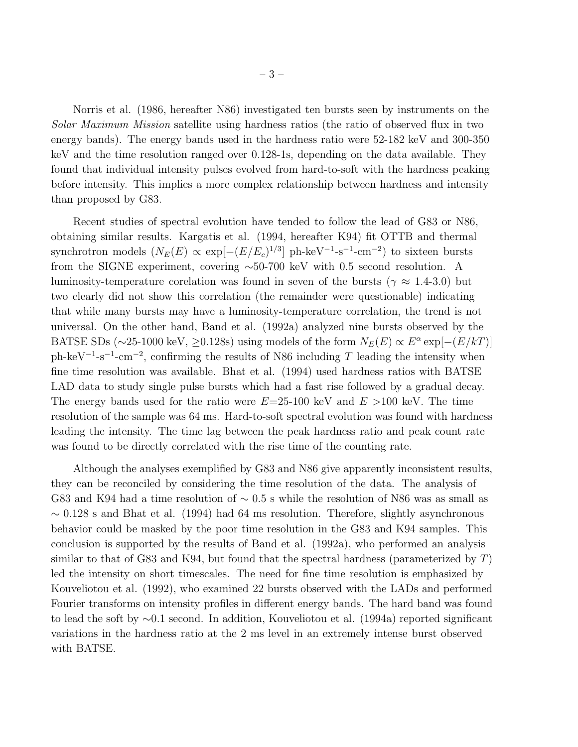Norris et al. (1986, hereafter N86) investigated ten bursts seen by instruments on the *Solar Maximum Mission* satellite using hardness ratios (the ratio of observed flux in two energy bands). The energy bands used in the hardness ratio were 52-182 keV and 300-350 keV and the time resolution ranged over 0.128-1s, depending on the data available. They found that individual intensity pulses evolved from hard-to-soft with the hardness peaking before intensity. This implies a more complex relationship between hardness and intensity than proposed by G83.

Recent studies of spectral evolution have tended to follow the lead of G83 or N86, obtaining similar results. Kargatis et al. (1994, hereafter K94) fit OTTB and thermal synchrotron models  $(N_E(E) \propto \exp[-(E/E_c)^{1/3}]$  ph-keV<sup>-1</sup>-s<sup>-1</sup>-cm<sup>-2</sup>) to sixteen bursts from the SIGNE experiment, covering ∼50-700 keV with 0.5 second resolution. A luminosity-temperature corelation was found in seven of the bursts ( $\gamma \approx 1.4$ -3.0) but two clearly did not show this correlation (the remainder were questionable) indicating that while many bursts may have a luminosity-temperature correlation, the trend is not universal. On the other hand, Band et al. (1992a) analyzed nine bursts observed by the BATSE SDs (~25-1000 keV, ≥0.128s) using models of the form  $N_E(E) \propto E^{\alpha} \exp[-(E/kT)]$ ph-keV<sup>-1</sup>-s<sup>-1</sup>-cm<sup>-2</sup>, confirming the results of N86 including T leading the intensity when fine time resolution was available. Bhat et al. (1994) used hardness ratios with BATSE LAD data to study single pulse bursts which had a fast rise followed by a gradual decay. The energy bands used for the ratio were  $E=25-100 \text{ keV}$  and  $E > 100 \text{ keV}$ . The time resolution of the sample was 64 ms. Hard-to-soft spectral evolution was found with hardness leading the intensity. The time lag between the peak hardness ratio and peak count rate was found to be directly correlated with the rise time of the counting rate.

Although the analyses exemplified by G83 and N86 give apparently inconsistent results, they can be reconciled by considering the time resolution of the data. The analysis of G83 and K94 had a time resolution of  $\sim$  0.5 s while the resolution of N86 was as small as  $\sim 0.128$  s and Bhat et al. (1994) had 64 ms resolution. Therefore, slightly asynchronous behavior could be masked by the poor time resolution in the G83 and K94 samples. This conclusion is supported by the results of Band et al. (1992a), who performed an analysis similar to that of G83 and K94, but found that the spectral hardness (parameterized by  $T$ ) led the intensity on short timescales. The need for fine time resolution is emphasized by Kouveliotou et al. (1992), who examined 22 bursts observed with the LADs and performed Fourier transforms on intensity profiles in different energy bands. The hard band was found to lead the soft by ∼0.1 second. In addition, Kouveliotou et al. (1994a) reported significant variations in the hardness ratio at the 2 ms level in an extremely intense burst observed with BATSE.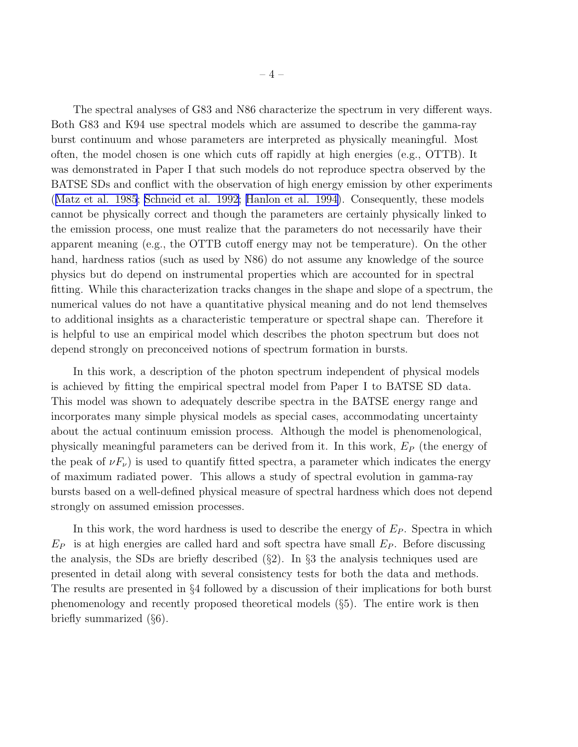The spectral analyses of G83 and N86 characterize the spectrum in very different ways. Both G83 and K94 use spectral models which are assumed to describe the gamma-ray burst continuum and whose parameters are interpreted as physically meaningful. Most often, the model chosen is one which cuts off rapidly at high energies (e.g., OTTB). It was demonstrated in Paper I that such models do not reproduce spectra observed by the BATSE SDs and conflict with the observation of high energy emission by other experiments ([Matz et al. 1985](#page-27-0); [Schneid et al. 1992;](#page-28-0) [Hanlon et al. 1994\)](#page-26-0). Consequently, these models cannot be physically correct and though the parameters are certainly physically linked to the emission process, one must realize that the parameters do not necessarily have their apparent meaning (e.g., the OTTB cutoff energy may not be temperature). On the other hand, hardness ratios (such as used by N86) do not assume any knowledge of the source physics but do depend on instrumental properties which are accounted for in spectral fitting. While this characterization tracks changes in the shape and slope of a spectrum, the numerical values do not have a quantitative physical meaning and do not lend themselves to additional insights as a characteristic temperature or spectral shape can. Therefore it is helpful to use an empirical model which describes the photon spectrum but does not depend strongly on preconceived notions of spectrum formation in bursts.

In this work, a description of the photon spectrum independent of physical models is achieved by fitting the empirical spectral model from Paper I to BATSE SD data. This model was shown to adequately describe spectra in the BATSE energy range and incorporates many simple physical models as special cases, accommodating uncertainty about the actual continuum emission process. Although the model is phenomenological, physically meaningful parameters can be derived from it. In this work,  $E_P$  (the energy of the peak of  $\nu F_{\nu}$ ) is used to quantify fitted spectra, a parameter which indicates the energy of maximum radiated power. This allows a study of spectral evolution in gamma-ray bursts based on a well-defined physical measure of spectral hardness which does not depend strongly on assumed emission processes.

In this work, the word hardness is used to describe the energy of  $E<sub>P</sub>$ . Spectra in which  $E_P$  is at high energies are called hard and soft spectra have small  $E_P$ . Before discussing the analysis, the SDs are briefly described  $(\S 2)$ . In  $\S 3$  the analysis techniques used are presented in detail along with several consistency tests for both the data and methods. The results are presented in §4 followed by a discussion of their implications for both burst phenomenology and recently proposed theoretical models (§5). The entire work is then briefly summarized (§6).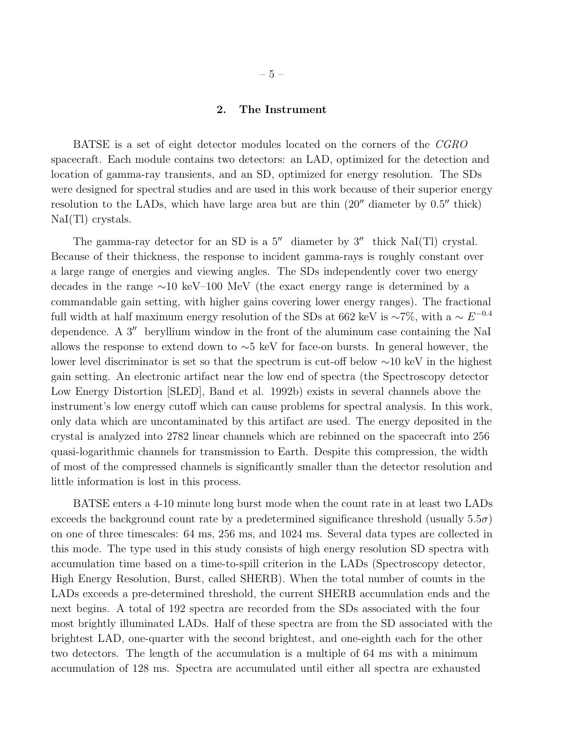## 2. The Instrument

BATSE is a set of eight detector modules located on the corners of the *CGRO* spacecraft. Each module contains two detectors: an LAD, optimized for the detection and location of gamma-ray transients, and an SD, optimized for energy resolution. The SDs were designed for spectral studies and are used in this work because of their superior energy resolution to the LADs, which have large area but are thin  $(20''$  diameter by  $0.5''$  thick) NaI(Tl) crystals.

The gamma-ray detector for an SD is a  $5''$  diameter by  $3''$  thick NaI(Tl) crystal. Because of their thickness, the response to incident gamma-rays is roughly constant over a large range of energies and viewing angles. The SDs independently cover two energy decades in the range ∼10 keV–100 MeV (the exact energy range is determined by a commandable gain setting, with higher gains covering lower energy ranges). The fractional full width at half maximum energy resolution of the SDs at 662 keV is ~7%, with a  $\sim E^{-0.4}$ dependence. A 3<sup>"</sup> beryllium window in the front of the aluminum case containing the NaI allows the response to extend down to ∼5 keV for face-on bursts. In general however, the lower level discriminator is set so that the spectrum is cut-off below ∼10 keV in the highest gain setting. An electronic artifact near the low end of spectra (the Spectroscopy detector Low Energy Distortion [SLED], Band et al. 1992b) exists in several channels above the instrument's low energy cutoff which can cause problems for spectral analysis. In this work, only data which are uncontaminated by this artifact are used. The energy deposited in the crystal is analyzed into 2782 linear channels which are rebinned on the spacecraft into 256 quasi-logarithmic channels for transmission to Earth. Despite this compression, the width of most of the compressed channels is significantly smaller than the detector resolution and little information is lost in this process.

BATSE enters a 4-10 minute long burst mode when the count rate in at least two LADs exceeds the background count rate by a predetermined significance threshold (usually  $5.5\sigma$ ) on one of three timescales: 64 ms, 256 ms, and 1024 ms. Several data types are collected in this mode. The type used in this study consists of high energy resolution SD spectra with accumulation time based on a time-to-spill criterion in the LADs (Spectroscopy detector, High Energy Resolution, Burst, called SHERB). When the total number of counts in the LADs exceeds a pre-determined threshold, the current SHERB accumulation ends and the next begins. A total of 192 spectra are recorded from the SDs associated with the four most brightly illuminated LADs. Half of these spectra are from the SD associated with the brightest LAD, one-quarter with the second brightest, and one-eighth each for the other two detectors. The length of the accumulation is a multiple of 64 ms with a minimum accumulation of 128 ms. Spectra are accumulated until either all spectra are exhausted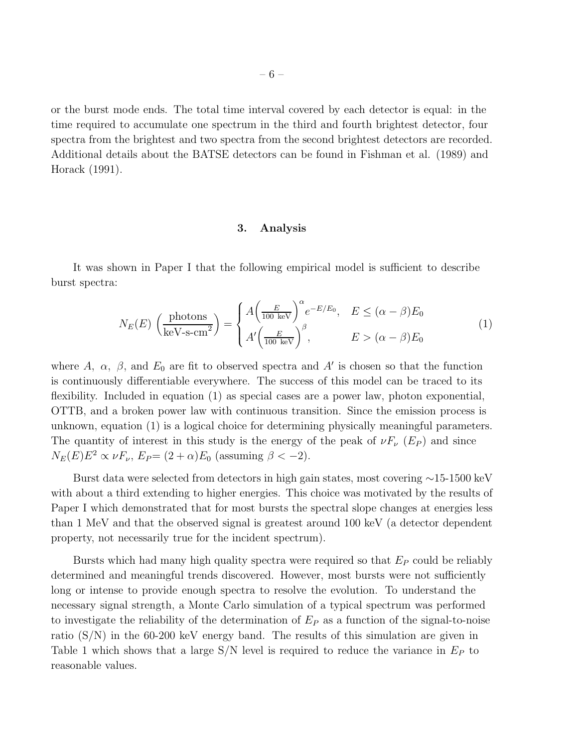or the burst mode ends. The total time interval covered by each detector is equal: in the time required to accumulate one spectrum in the third and fourth brightest detector, four spectra from the brightest and two spectra from the second brightest detectors are recorded. Additional details about the BATSE detectors can be found in Fishman et al. (1989) and Horack (1991).

#### 3. Analysis

It was shown in Paper I that the following empirical model is sufficient to describe burst spectra:

$$
N_E(E) \left(\frac{\text{photons}}{\text{keV-s-cm}^2}\right) = \begin{cases} A \left(\frac{E}{100 \text{ keV}}\right)^{\alpha} e^{-E/E_0}, & E \le (\alpha - \beta)E_0\\ A' \left(\frac{E}{100 \text{ keV}}\right)^{\beta}, & E > (\alpha - \beta)E_0 \end{cases} \tag{1}
$$

where A,  $\alpha$ ,  $\beta$ , and  $E_0$  are fit to observed spectra and A' is chosen so that the function is continuously differentiable everywhere. The success of this model can be traced to its flexibility. Included in equation (1) as special cases are a power law, photon exponential, OTTB, and a broken power law with continuous transition. Since the emission process is unknown, equation (1) is a logical choice for determining physically meaningful parameters. The quantity of interest in this study is the energy of the peak of  $\nu F_{\nu}$  (E<sub>P</sub>) and since  $N_E(E)E^2 \propto \nu F_{\nu}$ ,  $E_P = (2 + \alpha)E_0$  (assuming  $\beta < -2$ ).

Burst data were selected from detectors in high gain states, most covering ∼15-1500 keV with about a third extending to higher energies. This choice was motivated by the results of Paper I which demonstrated that for most bursts the spectral slope changes at energies less than 1 MeV and that the observed signal is greatest around 100 keV (a detector dependent property, not necessarily true for the incident spectrum).

Bursts which had many high quality spectra were required so that  $E_P$  could be reliably determined and meaningful trends discovered. However, most bursts were not sufficiently long or intense to provide enough spectra to resolve the evolution. To understand the necessary signal strength, a Monte Carlo simulation of a typical spectrum was performed to investigate the reliability of the determination of  $E<sub>P</sub>$  as a function of the signal-to-noise ratio (S/N) in the 60-200 keV energy band. The results of this simulation are given in Table 1 which shows that a large  $S/N$  level is required to reduce the variance in  $E_P$  to reasonable values.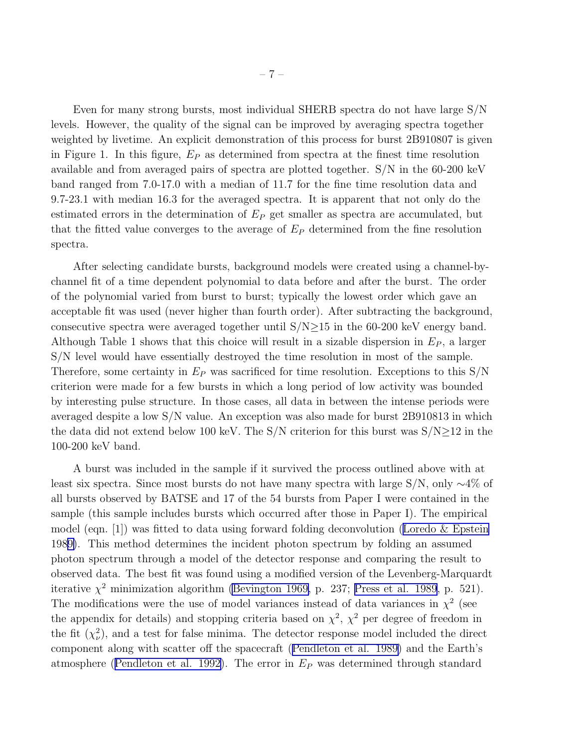Even for many strong bursts, most individual SHERB spectra do not have large S/N levels. However, the quality of the signal can be improved by averaging spectra together weighted by livetime. An explicit demonstration of this process for burst 2B910807 is given in Figure 1. In this figure,  $E_P$  as determined from spectra at the finest time resolution available and from averaged pairs of spectra are plotted together. S/N in the 60-200 keV band ranged from 7.0-17.0 with a median of 11.7 for the fine time resolution data and 9.7-23.1 with median 16.3 for the averaged spectra. It is apparent that not only do the estimated errors in the determination of  $E_P$  get smaller as spectra are accumulated, but that the fitted value converges to the average of  $E<sub>P</sub>$  determined from the fine resolution spectra.

After selecting candidate bursts, background models were created using a channel-bychannel fit of a time dependent polynomial to data before and after the burst. The order of the polynomial varied from burst to burst; typically the lowest order which gave an acceptable fit was used (never higher than fourth order). After subtracting the background, consecutive spectra were averaged together until  $S/N \ge 15$  in the 60-200 keV energy band. Although Table 1 shows that this choice will result in a sizable dispersion in  $E<sub>P</sub>$ , a larger S/N level would have essentially destroyed the time resolution in most of the sample. Therefore, some certainty in  $E_P$  was sacrificed for time resolution. Exceptions to this  $S/N$ criterion were made for a few bursts in which a long period of low activity was bounded by interesting pulse structure. In those cases, all data in between the intense periods were averaged despite a low S/N value. An exception was also made for burst 2B910813 in which the data did not extend below 100 keV. The  $S/N$  criterion for this burst was  $S/N \ge 12$  in the 100-200 keV band.

A burst was included in the sample if it survived the process outlined above with at least six spectra. Since most bursts do not have many spectra with large S/N, only ∼4% of all bursts observed by BATSE and 17 of the 54 bursts from Paper I were contained in the sample (this sample includes bursts which occurred after those in Paper I). The empirical model(eqn. [1]) was fitted to data using forward folding deconvolution (Loredo  $\&$  Epstein 198[9\)](#page-27-0). This method determines the incident photon spectrum by folding an assumed photon spectrum through a model of the detector response and comparing the result to observed data. The best fit was found using a modified version of the Levenberg-Marquardt iterative  $\chi^2$  minimization algorithm [\(Bevington 1969,](#page-26-0) p. 237; [Press et al. 1989](#page-28-0), p. 521). The modifications were the use of model variances instead of data variances in  $\chi^2$  (see the appendix for details) and stopping criteria based on  $\chi^2$ ,  $\chi^2$  per degree of freedom in the fit  $(\chi^2_\nu)$  $\mathcal{L}^2$ ), and a test for false minima. The detector response model included the direct component along with scatter off the spacecraft([Pendleton et al.](#page-28-0) 1989) and the Earth's atmosphere([Pendleton et al. 1992\)](#page-28-0). The error in  $E<sub>P</sub>$  was determined through standard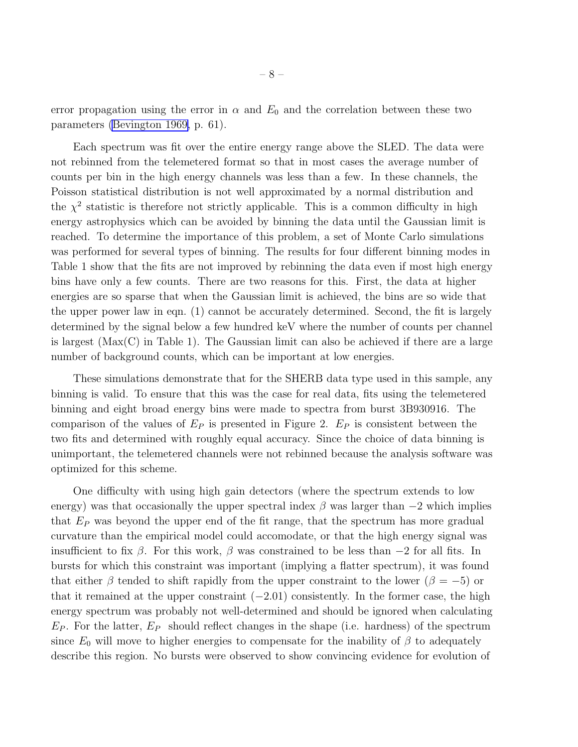error propagation using the error in  $\alpha$  and  $E_0$  and the correlation between these two parameters [\(Bevington 1969,](#page-26-0) p. 61).

Each spectrum was fit over the entire energy range above the SLED. The data were not rebinned from the telemetered format so that in most cases the average number of counts per bin in the high energy channels was less than a few. In these channels, the Poisson statistical distribution is not well approximated by a normal distribution and the  $\chi^2$  statistic is therefore not strictly applicable. This is a common difficulty in high energy astrophysics which can be avoided by binning the data until the Gaussian limit is reached. To determine the importance of this problem, a set of Monte Carlo simulations was performed for several types of binning. The results for four different binning modes in Table 1 show that the fits are not improved by rebinning the data even if most high energy bins have only a few counts. There are two reasons for this. First, the data at higher energies are so sparse that when the Gaussian limit is achieved, the bins are so wide that the upper power law in eqn. (1) cannot be accurately determined. Second, the fit is largely determined by the signal below a few hundred keV where the number of counts per channel is largest (Max(C) in Table 1). The Gaussian limit can also be achieved if there are a large number of background counts, which can be important at low energies.

These simulations demonstrate that for the SHERB data type used in this sample, any binning is valid. To ensure that this was the case for real data, fits using the telemetered binning and eight broad energy bins were made to spectra from burst 3B930916. The comparison of the values of  $E_P$  is presented in Figure 2.  $E_P$  is consistent between the two fits and determined with roughly equal accuracy. Since the choice of data binning is unimportant, the telemetered channels were not rebinned because the analysis software was optimized for this scheme.

One difficulty with using high gain detectors (where the spectrum extends to low energy) was that occasionally the upper spectral index  $\beta$  was larger than  $-2$  which implies that  $E_P$  was beyond the upper end of the fit range, that the spectrum has more gradual curvature than the empirical model could accomodate, or that the high energy signal was insufficient to fix  $\beta$ . For this work,  $\beta$  was constrained to be less than  $-2$  for all fits. In bursts for which this constraint was important (implying a flatter spectrum), it was found that either  $\beta$  tended to shift rapidly from the upper constraint to the lower ( $\beta = -5$ ) or that it remained at the upper constraint  $(-2.01)$  consistently. In the former case, the high energy spectrum was probably not well-determined and should be ignored when calculating  $E_P$ . For the latter,  $E_P$  should reflect changes in the shape (i.e. hardness) of the spectrum since  $E_0$  will move to higher energies to compensate for the inability of  $\beta$  to adequately describe this region. No bursts were observed to show convincing evidence for evolution of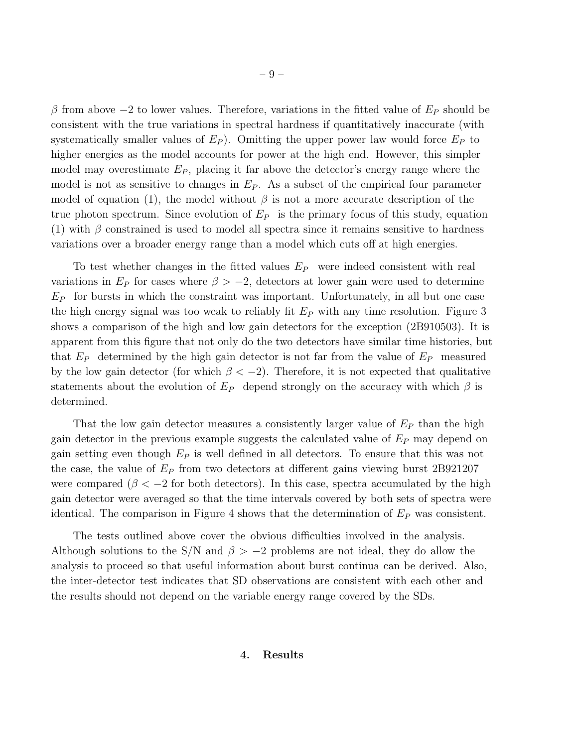β from above  $-2$  to lower values. Therefore, variations in the fitted value of  $E_P$  should be consistent with the true variations in spectral hardness if quantitatively inaccurate (with systematically smaller values of  $E_P$ ). Omitting the upper power law would force  $E_P$  to higher energies as the model accounts for power at the high end. However, this simpler model may overestimate  $E_P$ , placing it far above the detector's energy range where the model is not as sensitive to changes in  $E_P$ . As a subset of the empirical four parameter model of equation (1), the model without  $\beta$  is not a more accurate description of the true photon spectrum. Since evolution of  $E_P$  is the primary focus of this study, equation (1) with  $\beta$  constrained is used to model all spectra since it remains sensitive to hardness variations over a broader energy range than a model which cuts off at high energies.

To test whether changes in the fitted values  $E_P$  were indeed consistent with real variations in  $E_P$  for cases where  $\beta > -2$ , detectors at lower gain were used to determine  $E_P$  for bursts in which the constraint was important. Unfortunately, in all but one case the high energy signal was too weak to reliably fit  $E_P$  with any time resolution. Figure 3 shows a comparison of the high and low gain detectors for the exception (2B910503). It is apparent from this figure that not only do the two detectors have similar time histories, but that  $E_P$  determined by the high gain detector is not far from the value of  $E_P$  measured by the low gain detector (for which  $\beta < -2$ ). Therefore, it is not expected that qualitative statements about the evolution of  $E_P$  depend strongly on the accuracy with which  $\beta$  is determined.

That the low gain detector measures a consistently larger value of  $E_P$  than the high gain detector in the previous example suggests the calculated value of  $E_P$  may depend on gain setting even though  $E_P$  is well defined in all detectors. To ensure that this was not the case, the value of  $E_P$  from two detectors at different gains viewing burst 2B921207 were compared ( $\beta < -2$  for both detectors). In this case, spectra accumulated by the high gain detector were averaged so that the time intervals covered by both sets of spectra were identical. The comparison in Figure 4 shows that the determination of  $E<sub>P</sub>$  was consistent.

The tests outlined above cover the obvious difficulties involved in the analysis. Although solutions to the S/N and  $\beta > -2$  problems are not ideal, they do allow the analysis to proceed so that useful information about burst continua can be derived. Also, the inter-detector test indicates that SD observations are consistent with each other and the results should not depend on the variable energy range covered by the SDs.

#### 4. Results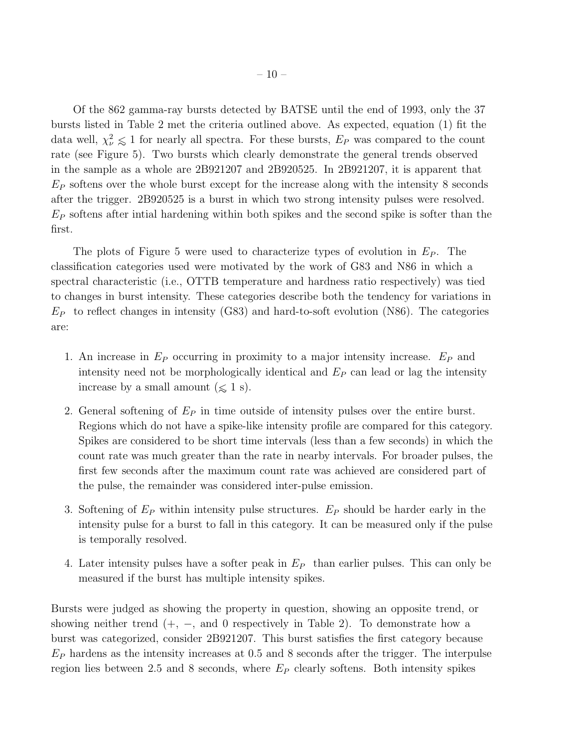Of the 862 gamma-ray bursts detected by BATSE until the end of 1993, only the 37 bursts listed in Table 2 met the criteria outlined above. As expected, equation (1) fit the data well,  $\chi^2_{\nu} \leq 1$  for nearly all spectra. For these bursts,  $E_P$  was compared to the count rate (see Figure 5). Two bursts which clearly demonstrate the general trends observed in the sample as a whole are 2B921207 and 2B920525. In 2B921207, it is apparent that  $E<sub>P</sub>$  softens over the whole burst except for the increase along with the intensity 8 seconds after the trigger. 2B920525 is a burst in which two strong intensity pulses were resolved.  $E_P$  softens after intial hardening within both spikes and the second spike is softer than the first.

The plots of Figure 5 were used to characterize types of evolution in  $E<sub>P</sub>$ . The classification categories used were motivated by the work of G83 and N86 in which a spectral characteristic (i.e., OTTB temperature and hardness ratio respectively) was tied to changes in burst intensity. These categories describe both the tendency for variations in  $E_P$  to reflect changes in intensity (G83) and hard-to-soft evolution (N86). The categories are:

- 1. An increase in  $E_P$  occurring in proximity to a major intensity increase.  $E_P$  and intensity need not be morphologically identical and  $E<sub>P</sub>$  can lead or lag the intensity increase by a small amount  $(\leq 1 \text{ s}).$
- 2. General softening of  $E_P$  in time outside of intensity pulses over the entire burst. Regions which do not have a spike-like intensity profile are compared for this category. Spikes are considered to be short time intervals (less than a few seconds) in which the count rate was much greater than the rate in nearby intervals. For broader pulses, the first few seconds after the maximum count rate was achieved are considered part of the pulse, the remainder was considered inter-pulse emission.
- 3. Softening of  $E_P$  within intensity pulse structures.  $E_P$  should be harder early in the intensity pulse for a burst to fall in this category. It can be measured only if the pulse is temporally resolved.
- 4. Later intensity pulses have a softer peak in  $E_P$  than earlier pulses. This can only be measured if the burst has multiple intensity spikes.

Bursts were judged as showing the property in question, showing an opposite trend, or showing neither trend  $(+, -, \text{ and } 0 \text{ respectively in Table 2})$ . To demonstrate how a burst was categorized, consider 2B921207. This burst satisfies the first category because  $E_P$  hardens as the intensity increases at 0.5 and 8 seconds after the trigger. The interpulse region lies between 2.5 and 8 seconds, where  $E_P$  clearly softens. Both intensity spikes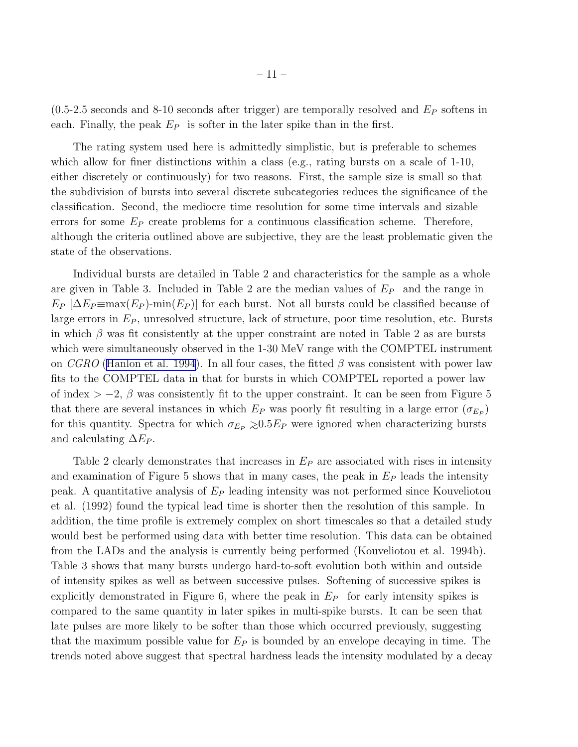$(0.5-2.5$  seconds and 8-10 seconds after trigger) are temporally resolved and  $E<sub>P</sub>$  softens in each. Finally, the peak  $E_P$  is softer in the later spike than in the first.

The rating system used here is admittedly simplistic, but is preferable to schemes which allow for finer distinctions within a class (e.g., rating bursts on a scale of 1-10, either discretely or continuously) for two reasons. First, the sample size is small so that the subdivision of bursts into several discrete subcategories reduces the significance of the classification. Second, the mediocre time resolution for some time intervals and sizable errors for some  $E_P$  create problems for a continuous classification scheme. Therefore, although the criteria outlined above are subjective, they are the least problematic given the state of the observations.

Individual bursts are detailed in Table 2 and characteristics for the sample as a whole are given in Table 3. Included in Table 2 are the median values of  $E_P$  and the range in  $E_P \left[ \Delta E_P \equiv \max(E_P) - \min(E_P) \right]$  for each burst. Not all bursts could be classified because of large errors in  $E<sub>P</sub>$ , unresolved structure, lack of structure, poor time resolution, etc. Bursts in which  $\beta$  was fit consistently at the upper constraint are noted in Table 2 as are bursts which were simultaneously observed in the 1-30 MeV range with the COMPTEL instrument on *CGRO* ([Hanlon et al. 1994](#page-26-0)). In all four cases, the fitted  $\beta$  was consistent with power law fits to the COMPTEL data in that for bursts in which COMPTEL reported a power law of index  $> -2$ ,  $\beta$  was consistently fit to the upper constraint. It can be seen from Figure 5 that there are several instances in which  $E_P$  was poorly fit resulting in a large error  $(\sigma_{E_P})$ for this quantity. Spectra for which  $\sigma_{E_P} \gtrsim 0.5E_P$  were ignored when characterizing bursts and calculating  $\Delta E_P$ .

Table 2 clearly demonstrates that increases in  $E<sub>P</sub>$  are associated with rises in intensity and examination of Figure 5 shows that in many cases, the peak in  $E<sub>P</sub>$  leads the intensity peak. A quantitative analysis of  $E_P$  leading intensity was not performed since Kouveliotou et al. (1992) found the typical lead time is shorter then the resolution of this sample. In addition, the time profile is extremely complex on short timescales so that a detailed study would best be performed using data with better time resolution. This data can be obtained from the LADs and the analysis is currently being performed (Kouveliotou et al. 1994b). Table 3 shows that many bursts undergo hard-to-soft evolution both within and outside of intensity spikes as well as between successive pulses. Softening of successive spikes is explicitly demonstrated in Figure 6, where the peak in  $E_P$  for early intensity spikes is compared to the same quantity in later spikes in multi-spike bursts. It can be seen that late pulses are more likely to be softer than those which occurred previously, suggesting that the maximum possible value for  $E_P$  is bounded by an envelope decaying in time. The trends noted above suggest that spectral hardness leads the intensity modulated by a decay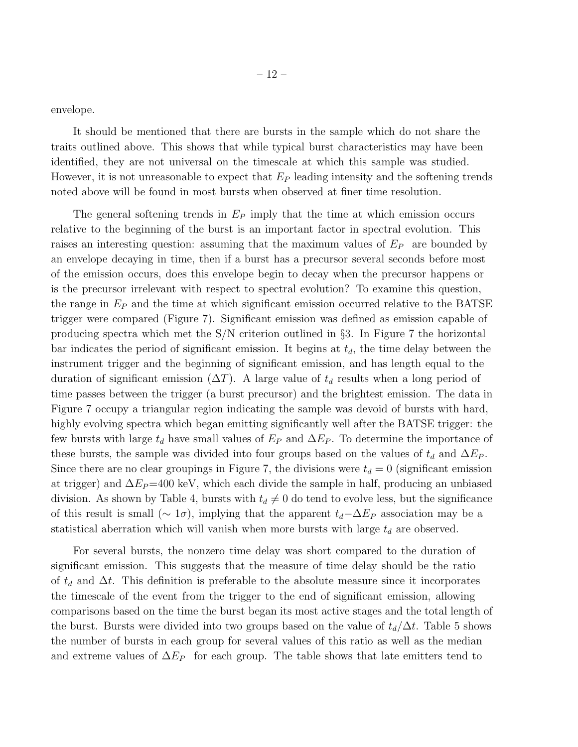envelope.

It should be mentioned that there are bursts in the sample which do not share the traits outlined above. This shows that while typical burst characteristics may have been identified, they are not universal on the timescale at which this sample was studied. However, it is not unreasonable to expect that  $E_P$  leading intensity and the softening trends noted above will be found in most bursts when observed at finer time resolution.

The general softening trends in  $E_P$  imply that the time at which emission occurs relative to the beginning of the burst is an important factor in spectral evolution. This raises an interesting question: assuming that the maximum values of  $E_P$  are bounded by an envelope decaying in time, then if a burst has a precursor several seconds before most of the emission occurs, does this envelope begin to decay when the precursor happens or is the precursor irrelevant with respect to spectral evolution? To examine this question, the range in  $E<sub>P</sub>$  and the time at which significant emission occurred relative to the BATSE trigger were compared (Figure 7). Significant emission was defined as emission capable of producing spectra which met the S/N criterion outlined in §3. In Figure 7 the horizontal bar indicates the period of significant emission. It begins at  $t<sub>d</sub>$ , the time delay between the instrument trigger and the beginning of significant emission, and has length equal to the duration of significant emission ( $\Delta T$ ). A large value of  $t_d$  results when a long period of time passes between the trigger (a burst precursor) and the brightest emission. The data in Figure 7 occupy a triangular region indicating the sample was devoid of bursts with hard, highly evolving spectra which began emitting significantly well after the BATSE trigger: the few bursts with large  $t_d$  have small values of  $E_P$  and  $\Delta E_P$ . To determine the importance of these bursts, the sample was divided into four groups based on the values of  $t_d$  and  $\Delta E_P$ . Since there are no clear groupings in Figure 7, the divisions were  $t_d = 0$  (significant emission at trigger) and  $\Delta E_P$ =400 keV, which each divide the sample in half, producing an unbiased division. As shown by Table 4, bursts with  $t_d \neq 0$  do tend to evolve less, but the significance of this result is small ( $\sim 1\sigma$ ), implying that the apparent  $t_d-\Delta E_P$  association may be a statistical aberration which will vanish when more bursts with large  $t_d$  are observed.

For several bursts, the nonzero time delay was short compared to the duration of significant emission. This suggests that the measure of time delay should be the ratio of  $t_d$  and  $\Delta t$ . This definition is preferable to the absolute measure since it incorporates the timescale of the event from the trigger to the end of significant emission, allowing comparisons based on the time the burst began its most active stages and the total length of the burst. Bursts were divided into two groups based on the value of  $t_d/\Delta t$ . Table 5 shows the number of bursts in each group for several values of this ratio as well as the median and extreme values of  $\Delta E_P$  for each group. The table shows that late emitters tend to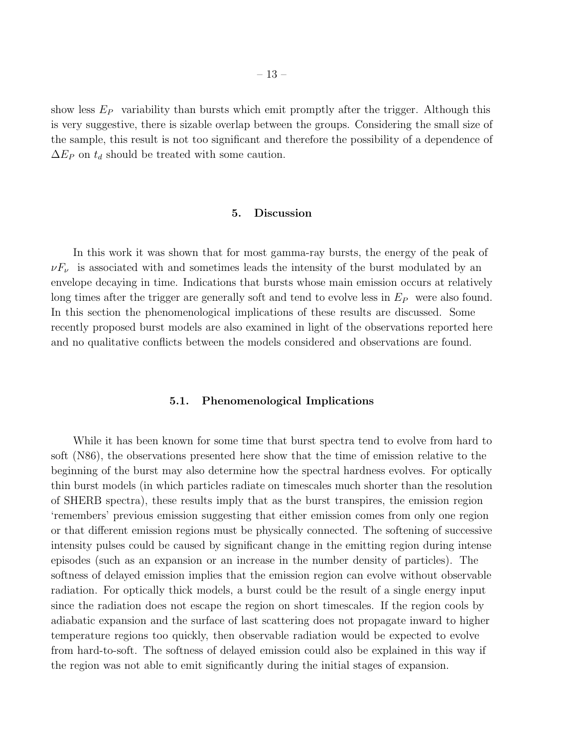show less  $E_P$  variability than bursts which emit promptly after the trigger. Although this is very suggestive, there is sizable overlap between the groups. Considering the small size of the sample, this result is not too significant and therefore the possibility of a dependence of  $\Delta E_P$  on  $t_d$  should be treated with some caution.

#### 5. Discussion

In this work it was shown that for most gamma-ray bursts, the energy of the peak of  $\nu F_\nu$  is associated with and sometimes leads the intensity of the burst modulated by an envelope decaying in time. Indications that bursts whose main emission occurs at relatively long times after the trigger are generally soft and tend to evolve less in  $E_P$  were also found. In this section the phenomenological implications of these results are discussed. Some recently proposed burst models are also examined in light of the observations reported here and no qualitative conflicts between the models considered and observations are found.

#### 5.1. Phenomenological Implications

While it has been known for some time that burst spectra tend to evolve from hard to soft (N86), the observations presented here show that the time of emission relative to the beginning of the burst may also determine how the spectral hardness evolves. For optically thin burst models (in which particles radiate on timescales much shorter than the resolution of SHERB spectra), these results imply that as the burst transpires, the emission region 'remembers' previous emission suggesting that either emission comes from only one region or that different emission regions must be physically connected. The softening of successive intensity pulses could be caused by significant change in the emitting region during intense episodes (such as an expansion or an increase in the number density of particles). The softness of delayed emission implies that the emission region can evolve without observable radiation. For optically thick models, a burst could be the result of a single energy input since the radiation does not escape the region on short timescales. If the region cools by adiabatic expansion and the surface of last scattering does not propagate inward to higher temperature regions too quickly, then observable radiation would be expected to evolve from hard-to-soft. The softness of delayed emission could also be explained in this way if the region was not able to emit significantly during the initial stages of expansion.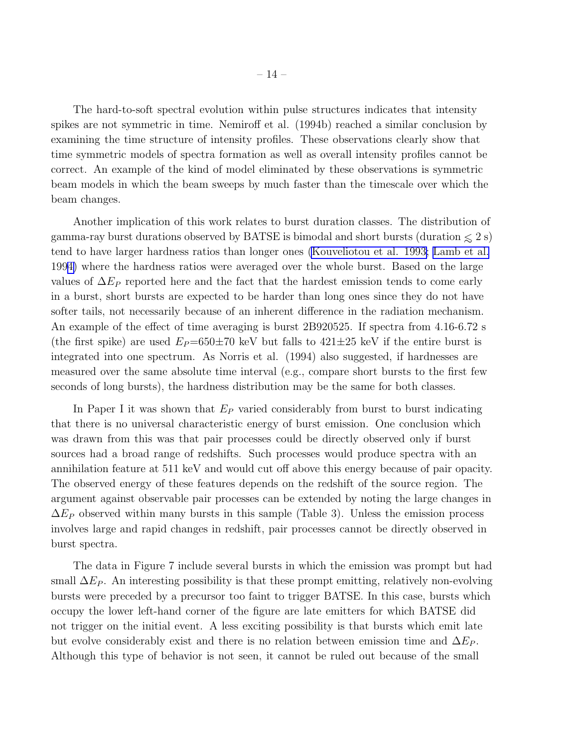The hard-to-soft spectral evolution within pulse structures indicates that intensity spikes are not symmetric in time. Nemiroff et al. (1994b) reached a similar conclusion by examining the time structure of intensity profiles. These observations clearly show that time symmetric models of spectra formation as well as overall intensity profiles cannot be correct. An example of the kind of model eliminated by these observations is symmetric beam models in which the beam sweeps by much faster than the timescale over which the beam changes.

Another implication of this work relates to burst duration classes. The distribution of gamma-ray burst durations observed by BATSE is bimodal and short bursts (duration  $\leq 2$  s) tend to have larger hardness ratios than longer ones [\(Kouveliotou](#page-27-0) et al. 1993; [Lamb et al.](#page-27-0) 199[4\)](#page-27-0) where the hardness ratios were averaged over the whole burst. Based on the large values of  $\Delta E_P$  reported here and the fact that the hardest emission tends to come early in a burst, short bursts are expected to be harder than long ones since they do not have softer tails, not necessarily because of an inherent difference in the radiation mechanism. An example of the effect of time averaging is burst 2B920525. If spectra from 4.16-6.72 s (the first spike) are used  $E_P=650\pm70$  keV but falls to  $421\pm25$  keV if the entire burst is integrated into one spectrum. As Norris et al. (1994) also suggested, if hardnesses are measured over the same absolute time interval (e.g., compare short bursts to the first few seconds of long bursts), the hardness distribution may be the same for both classes.

In Paper I it was shown that  $E_P$  varied considerably from burst to burst indicating that there is no universal characteristic energy of burst emission. One conclusion which was drawn from this was that pair processes could be directly observed only if burst sources had a broad range of redshifts. Such processes would produce spectra with an annihilation feature at 511 keV and would cut off above this energy because of pair opacity. The observed energy of these features depends on the redshift of the source region. The argument against observable pair processes can be extended by noting the large changes in  $\Delta E_P$  observed within many bursts in this sample (Table 3). Unless the emission process involves large and rapid changes in redshift, pair processes cannot be directly observed in burst spectra.

The data in Figure 7 include several bursts in which the emission was prompt but had small  $\Delta E_P$ . An interesting possibility is that these prompt emitting, relatively non-evolving bursts were preceded by a precursor too faint to trigger BATSE. In this case, bursts which occupy the lower left-hand corner of the figure are late emitters for which BATSE did not trigger on the initial event. A less exciting possibility is that bursts which emit late but evolve considerably exist and there is no relation between emission time and  $\Delta E_P$ . Although this type of behavior is not seen, it cannot be ruled out because of the small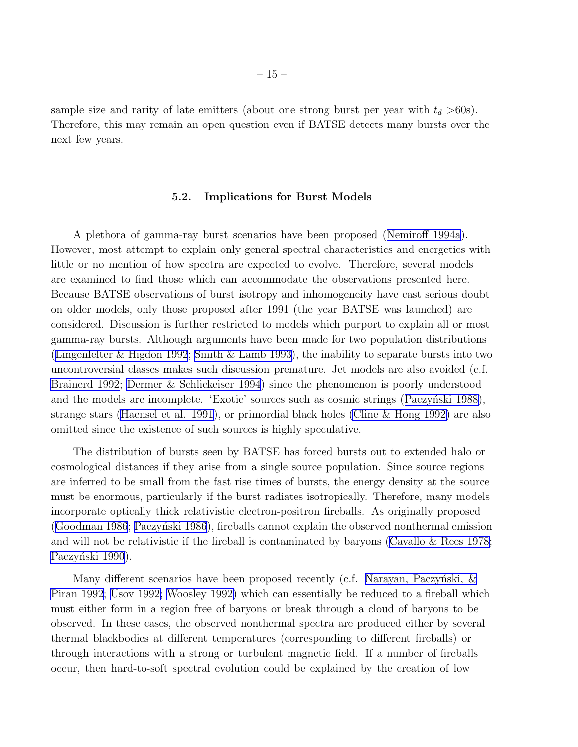sample size and rarity of late emitters (about one strong burst per year with  $t_d > 60$ s). Therefore, this may remain an open question even if BATSE detects many bursts over the next few years.

#### 5.2. Implications for Burst Models

A plethora of gamma-ray burst scenarios have been proposed([Nemiroff 1994a](#page-27-0)). However, most attempt to explain only general spectral characteristics and energetics with little or no mention of how spectra are expected to evolve. Therefore, several models are examined to find those which can accommodate the observations presented here. Because BATSE observations of burst isotropy and inhomogeneity have cast serious doubt on older models, only those proposed after 1991 (the year BATSE was launched) are considered. Discussion is further restricted to models which purport to explain all or most gamma-ray bursts. Although arguments have been made for two population distributions ([Lingenfelter & Higdon 1992](#page-27-0); [Smith & Lamb 1993](#page-28-0)), the inability to separate bursts into two uncontroversial classes makes such discussion premature. Jet models are also avoided (c.f. [Brainerd 1992; Dermer & Schlickeiser 1994](#page-26-0)) since the phenomenon is poorly understood andthe models are incomplete. 'Exotic' sources such as cosmic strings (Paczyński 1988), strange stars([Haensel et al. 1991](#page-26-0)), or primordial black holes [\(Cline & Hong 1992\)](#page-26-0) are also omitted since the existence of such sources is highly speculative.

The distribution of bursts seen by BATSE has forced bursts out to extended halo or cosmological distances if they arise from a single source population. Since source regions are inferred to be small from the fast rise times of bursts, the energy density at the source must be enormous, particularly if the burst radiates isotropically. Therefore, many models incorporate optically thick relativistic electron-positron fireballs. As originally proposed ([Goodman 1986](#page-26-0); Paczyński 1986), fireballs cannot explain the observed nonthermal emission and will not be relativistic if the fireball is contaminated by baryons([Cavallo & Rees 1978;](#page-26-0) Paczyński 1990).

Many different scenarios have been proposed recently (c.f. Narayan, Paczyński,  $\&$ [Piran 1992;](#page-27-0) [Usov 1992; Woosley 1992\)](#page-28-0) which can essentially be reduced to a fireball which must either form in a region free of baryons or break through a cloud of baryons to be observed. In these cases, the observed nonthermal spectra are produced either by several thermal blackbodies at different temperatures (corresponding to different fireballs) or through interactions with a strong or turbulent magnetic field. If a number of fireballs occur, then hard-to-soft spectral evolution could be explained by the creation of low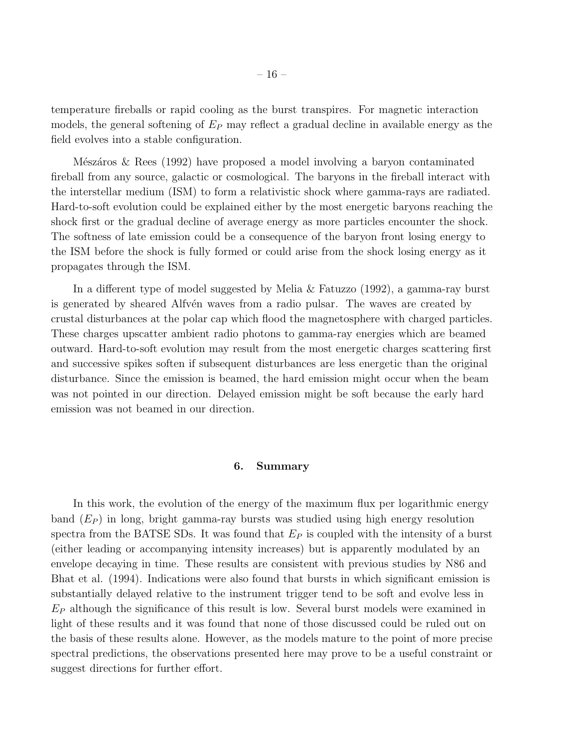temperature fireballs or rapid cooling as the burst transpires. For magnetic interaction models, the general softening of  $E_P$  may reflect a gradual decline in available energy as the field evolves into a stable configuration.

Mészáros  $\&$  Rees (1992) have proposed a model involving a baryon contaminated fireball from any source, galactic or cosmological. The baryons in the fireball interact with the interstellar medium (ISM) to form a relativistic shock where gamma-rays are radiated. Hard-to-soft evolution could be explained either by the most energetic baryons reaching the shock first or the gradual decline of average energy as more particles encounter the shock. The softness of late emission could be a consequence of the baryon front losing energy to the ISM before the shock is fully formed or could arise from the shock losing energy as it propagates through the ISM.

In a different type of model suggested by Melia & Fatuzzo (1992), a gamma-ray burst is generated by sheared Alfv $\acute{e}$ n waves from a radio pulsar. The waves are created by crustal disturbances at the polar cap which flood the magnetosphere with charged particles. These charges upscatter ambient radio photons to gamma-ray energies which are beamed outward. Hard-to-soft evolution may result from the most energetic charges scattering first and successive spikes soften if subsequent disturbances are less energetic than the original disturbance. Since the emission is beamed, the hard emission might occur when the beam was not pointed in our direction. Delayed emission might be soft because the early hard emission was not beamed in our direction.

#### 6. Summary

In this work, the evolution of the energy of the maximum flux per logarithmic energy band  $(E_P)$  in long, bright gamma-ray bursts was studied using high energy resolution spectra from the BATSE SDs. It was found that  $E<sub>P</sub>$  is coupled with the intensity of a burst (either leading or accompanying intensity increases) but is apparently modulated by an envelope decaying in time. These results are consistent with previous studies by N86 and Bhat et al. (1994). Indications were also found that bursts in which significant emission is substantially delayed relative to the instrument trigger tend to be soft and evolve less in  $E_P$  although the significance of this result is low. Several burst models were examined in light of these results and it was found that none of those discussed could be ruled out on the basis of these results alone. However, as the models mature to the point of more precise spectral predictions, the observations presented here may prove to be a useful constraint or suggest directions for further effort.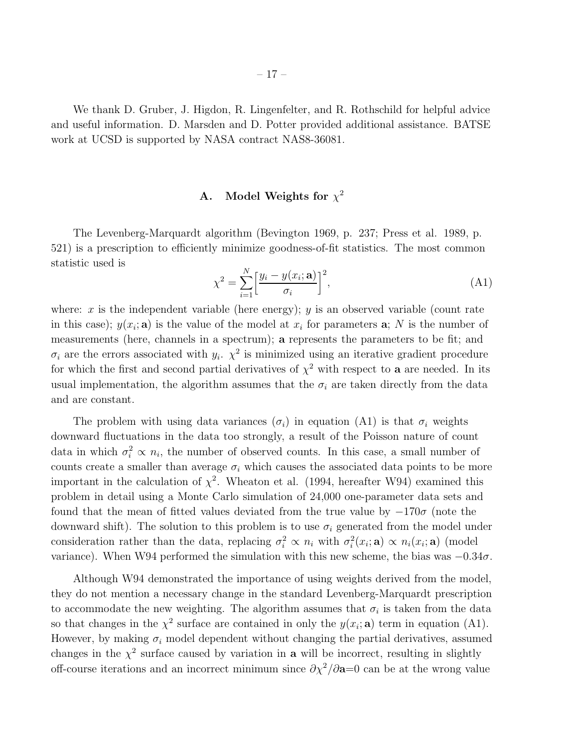We thank D. Gruber, J. Higdon, R. Lingenfelter, and R. Rothschild for helpful advice and useful information. D. Marsden and D. Potter provided additional assistance. BATSE work at UCSD is supported by NASA contract NAS8-36081.

# A. Model Weights for  $\chi^2$

The Levenberg-Marquardt algorithm (Bevington 1969, p. 237; Press et al. 1989, p. 521) is a prescription to efficiently minimize goodness-of-fit statistics. The most common statistic used is

$$
\chi^2 = \sum_{i=1}^{N} \left[ \frac{y_i - y(x_i; \mathbf{a})}{\sigma_i} \right]^2,\tag{A1}
$$

where: x is the independent variable (here energy); y is an observed variable (count rate in this case);  $y(x_i; \mathbf{a})$  is the value of the model at  $x_i$  for parameters  $\mathbf{a}; N$  is the number of measurements (here, channels in a spectrum); a represents the parameters to be fit; and  $\sigma_i$  are the errors associated with  $y_i$ .  $\chi^2$  is minimized using an iterative gradient procedure for which the first and second partial derivatives of  $\chi^2$  with respect to **a** are needed. In its usual implementation, the algorithm assumes that the  $\sigma_i$  are taken directly from the data and are constant.

The problem with using data variances  $(\sigma_i)$  in equation (A1) is that  $\sigma_i$  weights downward fluctuations in the data too strongly, a result of the Poisson nature of count data in which  $\sigma_i^2 \propto n_i$ , the number of observed counts. In this case, a small number of counts create a smaller than average  $\sigma_i$  which causes the associated data points to be more important in the calculation of  $\chi^2$ . Wheaton et al. (1994, hereafter W94) examined this problem in detail using a Monte Carlo simulation of 24,000 one-parameter data sets and found that the mean of fitted values deviated from the true value by  $-170\sigma$  (note the downward shift). The solution to this problem is to use  $\sigma_i$  generated from the model under consideration rather than the data, replacing  $\sigma_i^2 \propto n_i$  with  $\sigma_i^2$  $i_i^2(x_i; \mathbf{a}) \propto n_i(x_i; \mathbf{a}) \pmod{2}$ variance). When W94 performed the simulation with this new scheme, the bias was  $-0.34\sigma$ .

Although W94 demonstrated the importance of using weights derived from the model, they do not mention a necessary change in the standard Levenberg-Marquardt prescription to accommodate the new weighting. The algorithm assumes that  $\sigma_i$  is taken from the data so that changes in the  $\chi^2$  surface are contained in only the  $y(x_i; \mathbf{a})$  term in equation (A1). However, by making  $\sigma_i$  model dependent without changing the partial derivatives, assumed changes in the  $\chi^2$  surface caused by variation in **a** will be incorrect, resulting in slightly off-course iterations and an incorrect minimum since  $\partial \chi^2/\partial a=0$  can be at the wrong value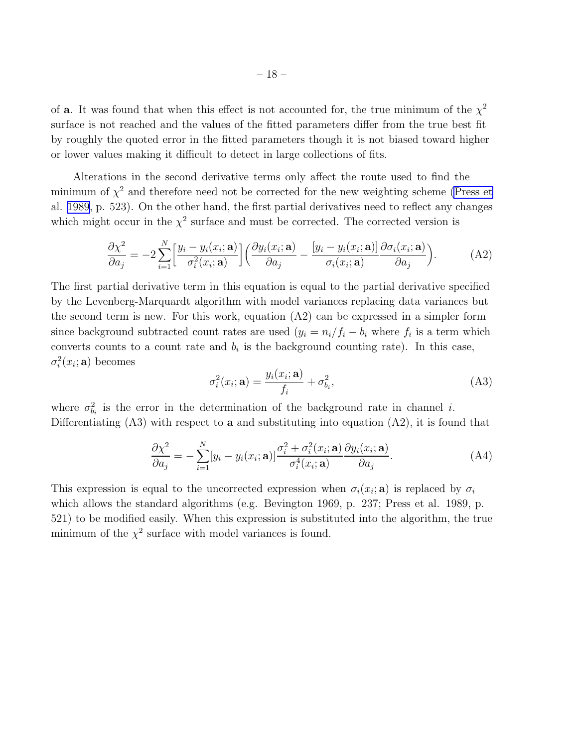of **a**. It was found that when this effect is not accounted for, the true minimum of the  $\chi^2$ surface is not reached and the values of the fitted parameters differ from the true best fit by roughly the quoted error in the fitted parameters though it is not biased toward higher or lower values making it difficult to detect in large collections of fits.

Alterations in the second derivative terms only affect the route used to find the minimum of  $\chi^2$  and therefore need not be corrected for the new weighting scheme [\(Press et](#page-28-0) al. [1989,](#page-28-0) p. 523). On the other hand, the first partial derivatives need to reflect any changes which might occur in the  $\chi^2$  surface and must be corrected. The corrected version is

$$
\frac{\partial \chi^2}{\partial a_j} = -2 \sum_{i=1}^N \left[ \frac{y_i - y_i(x_i; \mathbf{a})}{\sigma_i^2(x_i; \mathbf{a})} \right] \left( \frac{\partial y_i(x_i; \mathbf{a})}{\partial a_j} - \frac{[y_i - y_i(x_i; \mathbf{a})]}{\sigma_i(x_i; \mathbf{a})} \frac{\partial \sigma_i(x_i; \mathbf{a})}{\partial a_j} \right).
$$
(A2)

The first partial derivative term in this equation is equal to the partial derivative specified by the Levenberg-Marquardt algorithm with model variances replacing data variances but the second term is new. For this work, equation  $(A2)$  can be expressed in a simpler form since background subtracted count rates are used  $(y_i = n_i/f_i - b_i$  where  $f_i$  is a term which converts counts to a count rate and  $b_i$  is the background counting rate). In this case,  $\sigma_i^2$  $i^2(x_i; \mathbf{a})$  becomes

$$
\sigma_i^2(x_i; \mathbf{a}) = \frac{y_i(x_i; \mathbf{a})}{f_i} + \sigma_{b_i}^2,
$$
\n(A3)

where  $\sigma_h^2$  $\mu_{b_i}^2$  is the error in the determination of the background rate in channel *i*. Differentiating  $(A3)$  with respect to **a** and substituting into equation  $(A2)$ , it is found that

$$
\frac{\partial \chi^2}{\partial a_j} = -\sum_{i=1}^N [y_i - y_i(x_i; \mathbf{a})] \frac{\sigma_i^2 + \sigma_i^2(x_i; \mathbf{a})}{\sigma_i^4(x_i; \mathbf{a})} \frac{\partial y_i(x_i; \mathbf{a})}{\partial a_j}.
$$
(A4)

This expression is equal to the uncorrected expression when  $\sigma_i(x_i; \mathbf{a})$  is replaced by  $\sigma_i$ which allows the standard algorithms (e.g. Bevington 1969, p. 237; Press et al. 1989, p. 521) to be modified easily. When this expression is substituted into the algorithm, the true minimum of the  $\chi^2$  surface with model variances is found.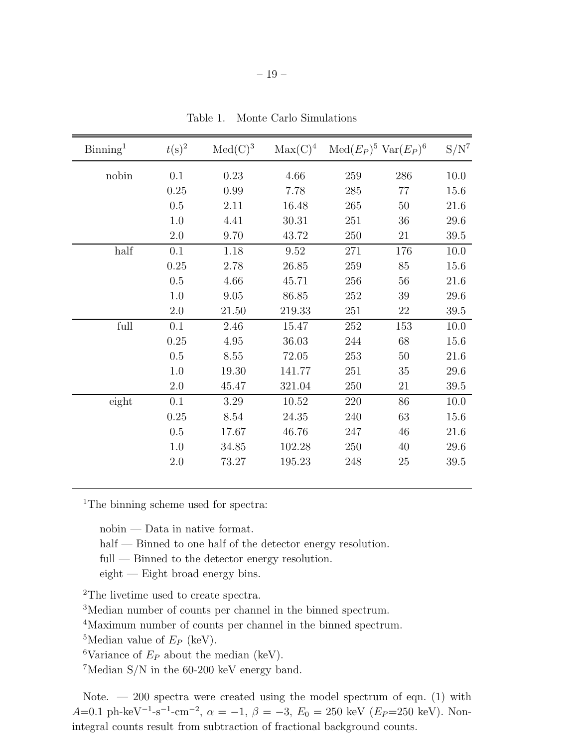| $\mathrm{Binning}^1$ | $t(s)^2$ | $Med(C)^3$ | $Max(C)^4$ |     | $\text{Med}(E_P)^5 \text{Var}(E_P)^6$ | $S/N^7$ |
|----------------------|----------|------------|------------|-----|---------------------------------------|---------|
| nobin                | 0.1      | 0.23       | 4.66       | 259 | 286                                   | 10.0    |
|                      | 0.25     | 0.99       | 7.78       | 285 | 77                                    | 15.6    |
|                      | 0.5      | 2.11       | 16.48      | 265 | 50                                    | 21.6    |
|                      | 1.0      | 4.41       | 30.31      | 251 | 36                                    | 29.6    |
|                      | 2.0      | 9.70       | 43.72      | 250 | 21                                    | 39.5    |
| half                 | 0.1      | 1.18       | 9.52       | 271 | 176                                   | 10.0    |
|                      | 0.25     | 2.78       | 26.85      | 259 | 85                                    | 15.6    |
|                      | 0.5      | 4.66       | 45.71      | 256 | 56                                    | 21.6    |
|                      | 1.0      | 9.05       | 86.85      | 252 | 39                                    | 29.6    |
|                      | 2.0      | 21.50      | 219.33     | 251 | 22                                    | 39.5    |
| full                 | 0.1      | 2.46       | 15.47      | 252 | 153                                   | 10.0    |
|                      | 0.25     | 4.95       | 36.03      | 244 | 68                                    | 15.6    |
|                      | 0.5      | 8.55       | 72.05      | 253 | $50\,$                                | 21.6    |
|                      | 1.0      | 19.30      | 141.77     | 251 | 35                                    | 29.6    |
|                      | 2.0      | 45.47      | 321.04     | 250 | 21                                    | 39.5    |
| eight                | 0.1      | 3.29       | 10.52      | 220 | 86                                    | 10.0    |
|                      | 0.25     | 8.54       | 24.35      | 240 | 63                                    | 15.6    |
|                      | 0.5      | 17.67      | 46.76      | 247 | 46                                    | 21.6    |
|                      | 1.0      | 34.85      | 102.28     | 250 | $40\,$                                | 29.6    |
|                      | 2.0      | 73.27      | 195.23     | 248 | 25                                    | 39.5    |
|                      |          |            |            |     |                                       |         |

Table 1. Monte Carlo Simulations

<sup>1</sup>The binning scheme used for spectra:

nobin — Data in native format.

half — Binned to one half of the detector energy resolution.

full — Binned to the detector energy resolution.

eight — Eight broad energy bins.

<sup>2</sup>The livetime used to create spectra.

<sup>3</sup>Median number of counts per channel in the binned spectrum.

<sup>4</sup>Maximum number of counts per channel in the binned spectrum.

<sup>5</sup>Median value of  $E_P$  (keV).

<sup>6</sup>Variance of  $E_P$  about the median (keV).

<sup>7</sup>Median S/N in the 60-200 keV energy band.

Note.  $-200$  spectra were created using the model spectrum of eqn. (1) with A=0.1 ph-keV<sup>-1</sup>-s<sup>-1</sup>-cm<sup>-2</sup>,  $\alpha = -1$ ,  $\beta = -3$ ,  $E_0 = 250$  keV ( $E_P$ =250 keV). Nonintegral counts result from subtraction of fractional background counts.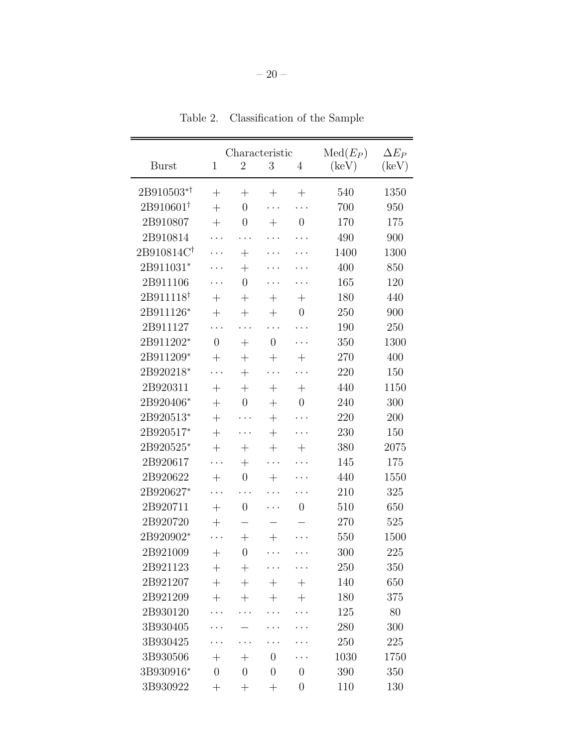|                        |                    | Characteristic   |                    | $Med(E_P)$         | $\Delta E_P$   |                |
|------------------------|--------------------|------------------|--------------------|--------------------|----------------|----------------|
| <b>Burst</b>           | $\mathbf{1}$       | $\overline{2}$   | 3                  | 4                  | $(\text{keV})$ | $(\text{keV})$ |
|                        |                    |                  |                    |                    |                |                |
| 2B910503*1             | $^{+}$             | $^{+}$           | $^{+}$             | $^{+}$             | 540            | 1350           |
| $2B910601^{\dagger}$   | $^{+}$             | $\overline{0}$   |                    |                    | 700            | 950            |
| 2B910807               | $^{+}$             | $\boldsymbol{0}$ | $^{+}$             | $\overline{0}$     | 170            | 175            |
| 2B910814               |                    |                  |                    |                    | 490            | 900            |
| 2B910814C <sup>†</sup> |                    | $+$              |                    |                    | 1400           | 1300           |
| 2B911031*              |                    | $^{+}$           |                    |                    | 400            | 850            |
| 2B911106               |                    | $\overline{0}$   |                    |                    | 165            | 120            |
| 2B911118 <sup>†</sup>  | $+$                | $^{+}$           | $^{+}$             | $^{+}$             | 180            | 440            |
| 2B911126*              | $^{+}$             | $^{+}$           | $^{+}$             | $\boldsymbol{0}$   | 250            | 900            |
| 2B911127               |                    |                  |                    |                    | 190            | 250            |
| 2B911202*              | $\overline{0}$     | $+$              | $\overline{0}$     |                    | 350            | 1300           |
| 2B911209*              | $^{+}$             | $^{+}$           | $^{+}$             | $^{+}$             | 270            | 400            |
| 2B920218*              | .                  | $^{+}$           |                    |                    | 220            | 150            |
| 2B920311               | $^{+}$             | $^{+}$           | $^{+}$             | $\hspace{0.1mm} +$ | 440            | 1150           |
| 2B920406*              | $^{+}$             | $\overline{0}$   | $^{+}$             | $\boldsymbol{0}$   | 240            | 300            |
| 2B920513*              | $^{+}$             |                  | $^{+}$             | $\ddots$           | 220            | 200            |
| 2B920517*              | $+$                |                  | $+$                |                    | 230            | 150            |
| 2B920525*              | $^{+}$             | $+$              | $^{+}$             | $^{+}$             | 380            | 2075           |
| 2B920617               |                    | $^{+}$           |                    |                    | 145            | 175            |
| 2B920622               | $^{+}$             | $\overline{0}$   | $^{+}$             |                    | 440            | 1550           |
| 2B920627*              | .                  |                  |                    |                    | 210            | 325            |
| 2B920711               | $^{+}$             | $\overline{0}$   |                    | $\overline{0}$     | 510            | 650            |
| 2B920720               | $+$                |                  |                    |                    | 270            | 525            |
| 2B920902*              | .                  | $^{+}$           | $^{+}$             |                    | 550            | 1500           |
| 2B921009               | $^{+}$             | $\overline{0}$   | .                  | .                  | 300            | 225            |
| 2B921123               | $^{+}$             | $^{+}$           |                    |                    | 250            | 350            |
| 2B921207               | $^{+}$             | $+$              | $\hspace{0.1mm} +$ | $^{+}$             | 140            | 650            |
| 2B921209               | $+$                | $^{+}$           | $^{+}$             | $^{+}$             | 180            | 375            |
| 2B930120               |                    |                  |                    |                    | 125            | 80             |
| 3B930405               |                    |                  |                    |                    | 280            | 300            |
| 3B930425               |                    |                  |                    |                    | 250            | 225            |
| 3B930506               | $\hspace{0.1mm} +$ | $^{+}$           | $\overline{0}$     |                    | 1030           | 1750           |
| 3B930916*              | $\overline{0}$     | $\overline{0}$   | $\overline{0}$     | $\overline{0}$     | 390            | 350            |
| 3B930922               | $^{+}$             | $^{+}$           | $^{+}$             | $\overline{0}$     | 110            | 130            |
|                        |                    |                  |                    |                    |                |                |

Table 2. Classification of the Sample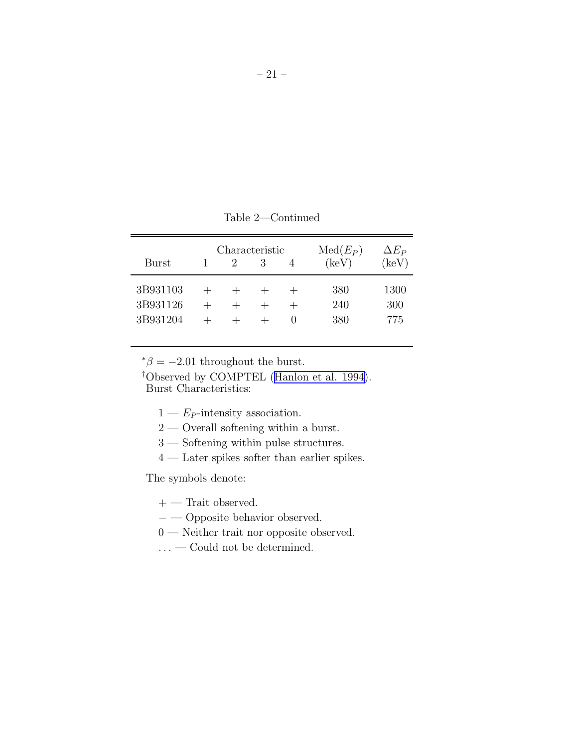Table 2—Continued

| Burst                            | Characteristic | 3 | $Med(E_P)$<br>(keV) | $\Delta E_P$<br>(keV) |
|----------------------------------|----------------|---|---------------------|-----------------------|
| 3B931103<br>3B931126<br>3B931204 |                |   | 380<br>240<br>380   | 1300<br>300<br>775    |

 $* \beta = -2.01$  throughout the burst.

†Observed by COMPTEL([Hanlon et al. 1994](#page-26-0)). Burst Characteristics:

- $1 E_P$ -intensity association.
- 2 Overall softening within a burst.
- 3 Softening within pulse structures.
- 4 Later spikes softer than earlier spikes.

The symbols denote:

- $+$  Trait observed.
- − Opposite behavior observed.
- 0 Neither trait nor opposite observed.
- $\ldots$  Could not be determined.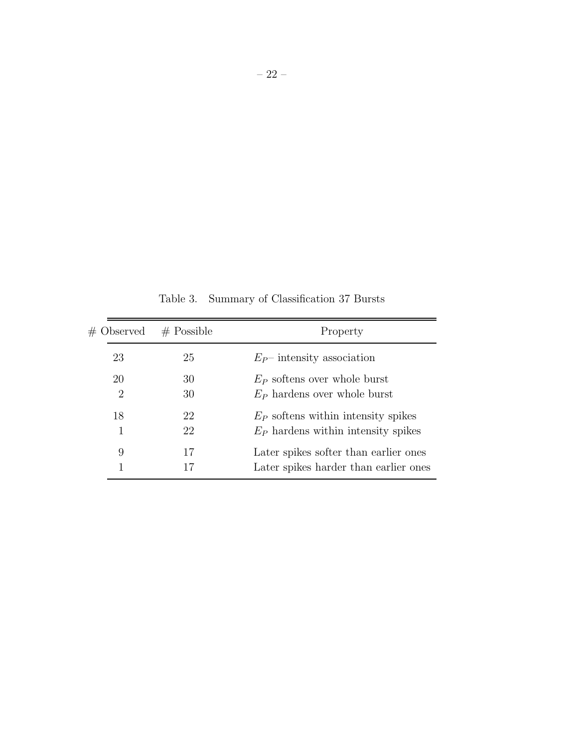| $#$ Observed         | $#$ Possible | Property                                                                       |
|----------------------|--------------|--------------------------------------------------------------------------------|
| 23                   | 25           | $E_P$ intensity association                                                    |
| 20<br>$\overline{2}$ | 30<br>30     | $E_P$ softens over whole burst<br>$E_P$ hardens over whole burst               |
| 18<br>1              | 22<br>22     | $E_P$ softens within intensity spikes<br>$E_P$ hardens within intensity spikes |
| 9                    | 17<br>17     | Later spikes softer than earlier ones<br>Later spikes harder than earlier ones |

Table 3. Summary of Classification 37 Bursts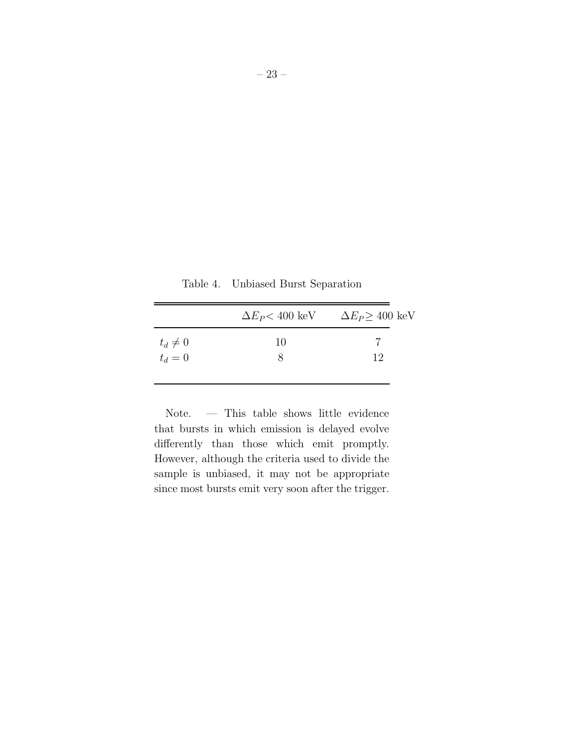Table 4. Unbiased Burst Separation

|             | $\Delta E_P$ < 400 keV | $\Delta E_P \geq 400~{\rm keV}$ |
|-------------|------------------------|---------------------------------|
| $t_d\neq 0$ | 10                     |                                 |
| $t_d=0$     |                        | 19                              |

Note. — This table shows little evidence that bursts in which emission is delayed evolve differently than those which emit promptly. However, although the criteria used to divide the sample is unbiased, it may not be appropriate since most bursts emit very soon after the trigger.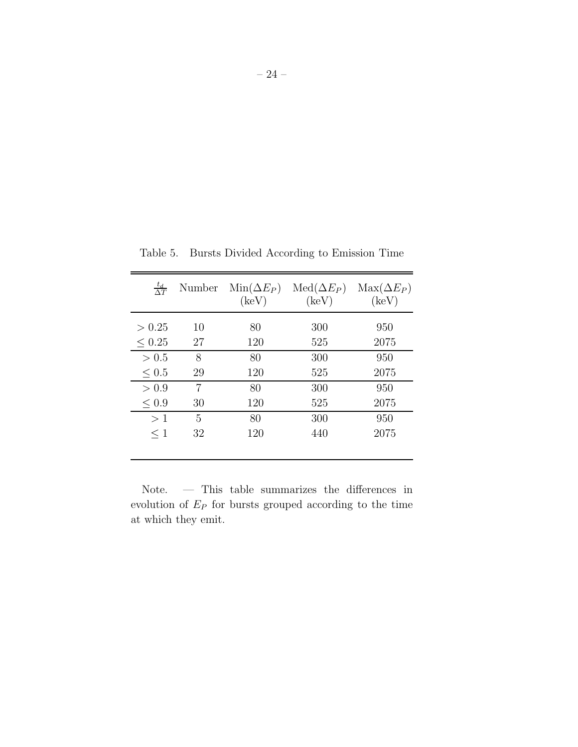| $rac{t_d}{\Delta T}$ | Number | $Min(\Delta E_P)$<br>$(\text{keV})$ | $Med(\Delta E_P)$<br>$(\text{keV})$ | $\text{Max}(\Delta E_P)$<br>$(\text{keV})$ |
|----------------------|--------|-------------------------------------|-------------------------------------|--------------------------------------------|
| > 0.25               | 10     | 80                                  | 300                                 | 950                                        |
| $\leq 0.25$          | 27     | 120                                 | 525                                 | 2075                                       |
| > 0.5                | 8      | 80                                  | 300                                 | 950                                        |
| $\leq 0.5$           | 29     | 120                                 | 525                                 | 2075                                       |
| > 0.9                | 7      | 80                                  | 300                                 | 950                                        |
| < 0.9                | 30     | 120                                 | 525                                 | 2075                                       |
| >1                   | 5      | 80                                  | 300                                 | 950                                        |
| $\leq 1$             | 32     | 120                                 | 440                                 | 2075                                       |
|                      |        |                                     |                                     |                                            |

Table 5. Bursts Divided According to Emission Time

Note. — This table summarizes the differences in evolution of  $E_P$  for bursts grouped according to the time at which they emit.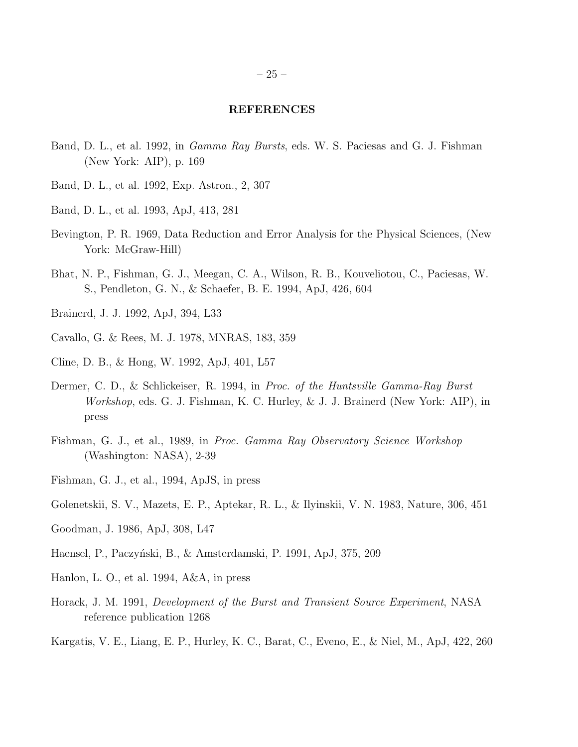#### REFERENCES

- <span id="page-26-0"></span>Band, D. L., et al. 1992, in *Gamma Ray Bursts*, eds. W. S. Paciesas and G. J. Fishman (New York: AIP), p. 169
- Band, D. L., et al. 1992, Exp. Astron., 2, 307
- Band, D. L., et al. 1993, ApJ, 413, 281
- Bevington, P. R. 1969, Data Reduction and Error Analysis for the Physical Sciences, (New York: McGraw-Hill)
- Bhat, N. P., Fishman, G. J., Meegan, C. A., Wilson, R. B., Kouveliotou, C., Paciesas, W. S., Pendleton, G. N., & Schaefer, B. E. 1994, ApJ, 426, 604
- Brainerd, J. J. 1992, ApJ, 394, L33
- Cavallo, G. & Rees, M. J. 1978, MNRAS, 183, 359
- Cline, D. B., & Hong, W. 1992, ApJ, 401, L57
- Dermer, C. D., & Schlickeiser, R. 1994, in *Proc. of the Huntsville Gamma-Ray Burst Workshop*, eds. G. J. Fishman, K. C. Hurley, & J. J. Brainerd (New York: AIP), in press
- Fishman, G. J., et al., 1989, in *Proc. Gamma Ray Observatory Science Workshop* (Washington: NASA), 2-39
- Fishman, G. J., et al., 1994, ApJS, in press
- Golenetskii, S. V., Mazets, E. P., Aptekar, R. L., & Ilyinskii, V. N. 1983, Nature, 306, 451
- Goodman, J. 1986, ApJ, 308, L47
- Haensel, P., Paczyński, B., & Amsterdamski, P. 1991, ApJ, 375, 209
- Hanlon, L. O., et al. 1994, A&A, in press
- Horack, J. M. 1991, *Development of the Burst and Transient Source Experiment*, NASA reference publication 1268
- Kargatis, V. E., Liang, E. P., Hurley, K. C., Barat, C., Eveno, E., & Niel, M., ApJ, 422, 260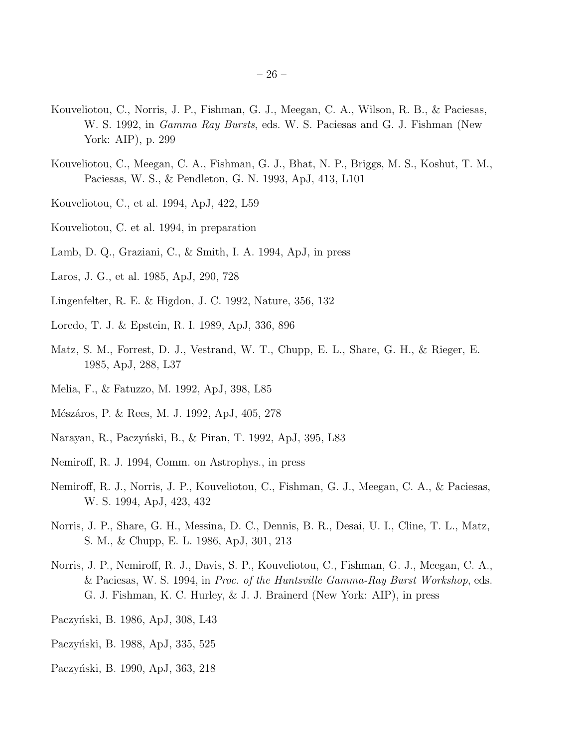- <span id="page-27-0"></span>Kouveliotou, C., Norris, J. P., Fishman, G. J., Meegan, C. A., Wilson, R. B., & Paciesas, W. S. 1992, in *Gamma Ray Bursts*, eds. W. S. Paciesas and G. J. Fishman (New York: AIP), p. 299
- Kouveliotou, C., Meegan, C. A., Fishman, G. J., Bhat, N. P., Briggs, M. S., Koshut, T. M., Paciesas, W. S., & Pendleton, G. N. 1993, ApJ, 413, L101
- Kouveliotou, C., et al. 1994, ApJ, 422, L59
- Kouveliotou, C. et al. 1994, in preparation
- Lamb, D. Q., Graziani, C., & Smith, I. A. 1994, ApJ, in press
- Laros, J. G., et al. 1985, ApJ, 290, 728
- Lingenfelter, R. E. & Higdon, J. C. 1992, Nature, 356, 132
- Loredo, T. J. & Epstein, R. I. 1989, ApJ, 336, 896
- Matz, S. M., Forrest, D. J., Vestrand, W. T., Chupp, E. L., Share, G. H., & Rieger, E. 1985, ApJ, 288, L37
- Melia, F., & Fatuzzo, M. 1992, ApJ, 398, L85
- Mészáros, P. & Rees, M. J. 1992, ApJ, 405, 278
- Narayan, R., Paczyński, B., & Piran, T. 1992, ApJ, 395, L83
- Nemiroff, R. J. 1994, Comm. on Astrophys., in press
- Nemiroff, R. J., Norris, J. P., Kouveliotou, C., Fishman, G. J., Meegan, C. A., & Paciesas, W. S. 1994, ApJ, 423, 432
- Norris, J. P., Share, G. H., Messina, D. C., Dennis, B. R., Desai, U. I., Cline, T. L., Matz, S. M., & Chupp, E. L. 1986, ApJ, 301, 213
- Norris, J. P., Nemiroff, R. J., Davis, S. P., Kouveliotou, C., Fishman, G. J., Meegan, C. A., & Paciesas, W. S. 1994, in *Proc. of the Huntsville Gamma-Ray Burst Workshop*, eds. G. J. Fishman, K. C. Hurley, & J. J. Brainerd (New York: AIP), in press
- Paczyński, B. 1986, ApJ, 308, L43
- Paczyński, B. 1988, ApJ, 335, 525
- Paczyński, B. 1990, ApJ, 363, 218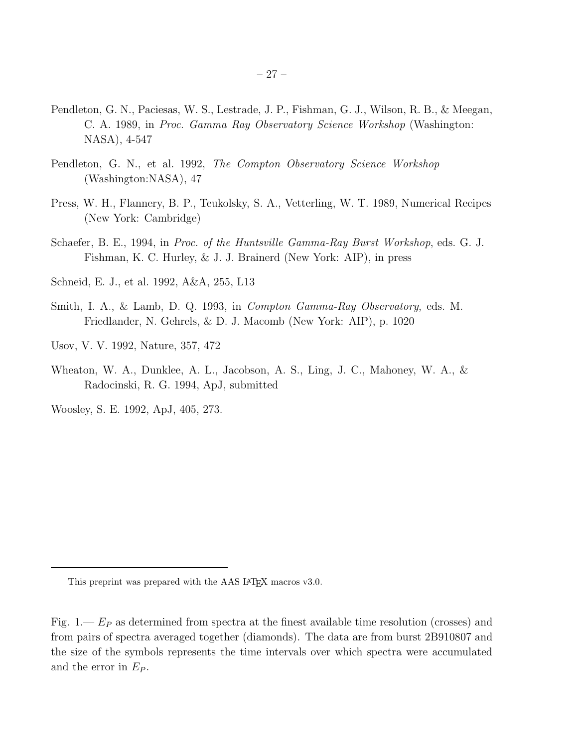- <span id="page-28-0"></span>Pendleton, G. N., Paciesas, W. S., Lestrade, J. P., Fishman, G. J., Wilson, R. B., & Meegan, C. A. 1989, in *Proc. Gamma Ray Observatory Science Workshop* (Washington: NASA), 4-547
- Pendleton, G. N., et al. 1992, *The Compton Observatory Science Workshop* (Washington:NASA), 47
- Press, W. H., Flannery, B. P., Teukolsky, S. A., Vetterling, W. T. 1989, Numerical Recipes (New York: Cambridge)
- Schaefer, B. E., 1994, in *Proc. of the Huntsville Gamma-Ray Burst Workshop*, eds. G. J. Fishman, K. C. Hurley, & J. J. Brainerd (New York: AIP), in press
- Schneid, E. J., et al. 1992, A&A, 255, L13
- Smith, I. A., & Lamb, D. Q. 1993, in *Compton Gamma-Ray Observatory*, eds. M. Friedlander, N. Gehrels, & D. J. Macomb (New York: AIP), p. 1020
- Usov, V. V. 1992, Nature, 357, 472
- Wheaton, W. A., Dunklee, A. L., Jacobson, A. S., Ling, J. C., Mahoney, W. A., & Radocinski, R. G. 1994, ApJ, submitted

Woosley, S. E. 1992, ApJ, 405, 273.

This preprint was prepared with the AAS LAT<sub>EX</sub> macros v3.0.

Fig.  $1-F_p$  as determined from spectra at the finest available time resolution (crosses) and from pairs of spectra averaged together (diamonds). The data are from burst 2B910807 and the size of the symbols represents the time intervals over which spectra were accumulated and the error in  $E_P$ .